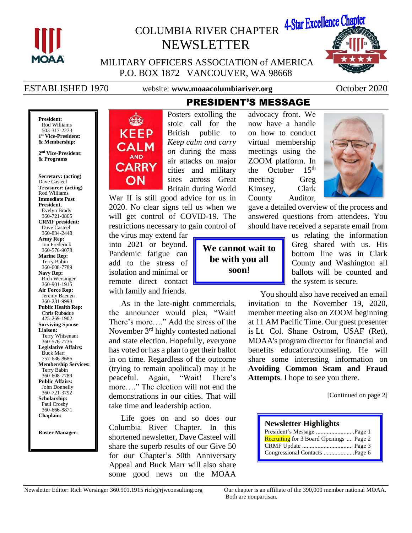

# COLUMBIA RIVER CHAPTER 4-Star Excellence Chapter NEWSLETTER



MILITARY OFFICERS ASSOCIATION of AMERICA P.O. BOX 1872 VANCOUVER, WA 98668

ESTABLISHED 1970 website: **www.moaacolumbiariver.org** October 2020

**President:** Rod Williams 503-317-2273 **1 st Vice-President: & Membership:**

**2 nd Vice-President: & Programs**

**Secretary: (acting)**

Dave Casteel **Treasurer: (acting)** Rod Williams **Immediate Past President,**  Evelyn Brady 360-721-0865 **CRMF president:** Dave Casteel 360-834-2448 **Army Rep:** Jon Frederick 360-576-9078 **Marine Rep:** Terry Babin 360-608-7789 **Navy Rep:** Rich Wersinger 360-901-1915 **Air Force Rep:** Jeremy Baenen 360-281-9998 **Public Health Rep:** Chris Rubadue 425-269-1902 **Surviving Spouse Liaison:** Terry Whisenant 360-576-7736 **Legislative Affairs:** Buck Marr 757-636-8686 **Membership Services:** Terry Babin 360-608-7789 **Public Affairs:** John Donnelly 360-721-3792 **Scholarship:** Paul Crosby 360-666-8871 **Chaplain:**

**Roster Manager:**



Posters extolling the stoic call for the British public to *Keep calm and carry on* during the mass air attacks on major cities and military sites across Great Britain during World

War II is still good advice for us in 2020. No clear signs tell us when we will get control of COVID-19. The restrictions necessary to gain control of

the virus may extend far into 2021 or beyond. Pandemic fatigue can add to the stress of isolation and minimal or remote direct contact with family and friends.

As in the late-night commercials, the announcer would plea, "Wait! There's more…." Add the stress of the November 3rd highly contested national and state election. Hopefully, everyone has voted or has a plan to get their ballot in on time. Regardless of the outcome (trying to remain apolitical) may it be peaceful. Again, "Wait! There's more…." The election will not end the demonstrations in our cities. That will take time and leadership action.

Life goes on and so does our Columbia River Chapter. In this shortened newsletter, Dave Casteel will share the superb results of our Give 50 for our Chapter's 50th Anniversary Appeal and Buck Marr will also share some good news on the MOAA

advocacy front. We now have a handle on how to conduct virtual membership meetings using the ZOOM platform. In the October  $15<sup>th</sup>$ meeting Greg Kimsey, Clark County Auditor,



gave a detailed overview of the process and answered questions from attendees. You should have received a separate email from

**We cannot wait to be with you all soon!**

PRESIDENT'S MESSAGE

us relating the information Greg shared with us. His bottom line was in Clark County and Washington all ballots will be counted and the system is secure.

You should also have received an email invitation to the November 19, 2020, member meeting also on ZOOM beginning at 11 AM Pacific Time. Our guest presenter is Lt. Col. Shane Ostrom, USAF (Ret), MOAA's program director for financial and benefits education/counseling. He will share some interesting information on **Avoiding Common Scam and Fraud Attempts**. I hope to see you there.

[Continued on page 2]

| <b>Newsletter Highlights</b>                   |
|------------------------------------------------|
| President's Message Page 1                     |
| <b>Recruiting</b> for 3 Board Openings  Page 2 |
|                                                |
| Congressional Contacts Page 6                  |

Both are nonpartisan.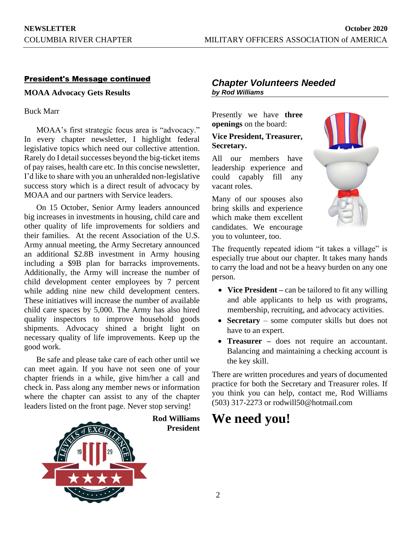# President's Message continued

**MOAA Advocacy Gets Results**

Buck Marr

MOAA's first strategic focus area is "advocacy." In every chapter newsletter, I highlight federal legislative topics which need our collective attention. Rarely do I detail successes beyond the big-ticket items of pay raises, health care etc. In this concise newsletter, I'd like to share with you an unheralded non-legislative success story which is a direct result of advocacy by MOAA and our partners with Service leaders.

On 15 October, Senior Army leaders announced big increases in investments in housing, child care and other quality of life improvements for soldiers and their families. At the recent Association of the U.S. Army annual meeting, the Army Secretary announced an additional \$2.8B investment in Army housing including a \$9B plan for barracks improvements. Additionally, the Army will increase the number of child development center employees by 7 percent while adding nine new child development centers. These initiatives will increase the number of available child care spaces by 5,000. The Army has also hired quality inspectors to improve household goods shipments. Advocacy shined a bright light on necessary quality of life improvements. Keep up the good work.

Be safe and please take care of each other until we can meet again. If you have not seen one of your chapter friends in a while, give him/her a call and check in. Pass along any member news or information where the chapter can assist to any of the chapter leaders listed on the front page. Never stop serving!



**Rod Williams President**

# *Chapter Volunteers Needed by Rod Williams*

Presently we have **three openings** on the board:

# **Vice President, Treasurer, Secretary.**

All our members have leadership experience and could capably fill any vacant roles.

Many of our spouses also bring skills and experience which make them excellent candidates. We encourage you to volunteer, too.



The frequently repeated idiom "it takes a village" is especially true about our chapter. It takes many hands to carry the load and not be a heavy burden on any one person.

- **Vice President** can be tailored to fit any willing and able applicants to help us with programs, membership, recruiting, and advocacy activities.
- **Secretary** some computer skills but does not have to an expert.
- **Treasurer –** does not require an accountant. Balancing and maintaining a checking account is the key skill.

There are written procedures and years of documented practice for both the Secretary and Treasurer roles. If you think you can help, contact me, Rod Williams (503) 317-2273 or rodwill50@hotmail.com

# **We need you!**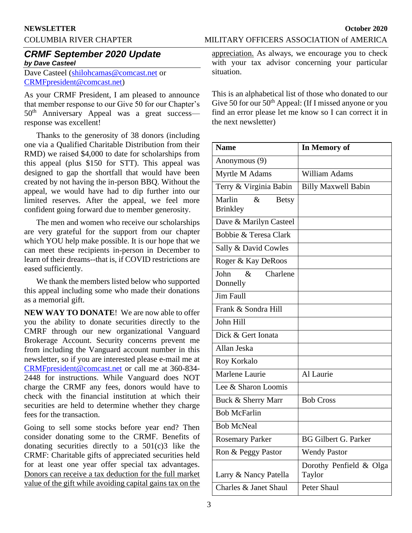### **NEWSLETTER October 2020**

# *CRMF September 2020 Update by Dave Casteel*

Dave Casteel [\(shilohcamas@comcast.net](mailto:shilohcamas@comcast.net) or [CRMFpresident@comcast.net\)](mailto:CRMFpresident@comcast.net)

As your CRMF President, I am pleased to announce that member response to our Give 50 for our Chapter's 50<sup>th</sup> Anniversary Appeal was a great success response was excellent!

Thanks to the generosity of 38 donors (including one via a Qualified Charitable Distribution from their RMD) we raised \$4,000 to date for scholarships from this appeal (plus \$150 for STT). This appeal was designed to gap the shortfall that would have been created by not having the in-person BBQ. Without the appeal, we would have had to dip further into our limited reserves. After the appeal, we feel more confident going forward due to member generosity.

The men and women who receive our scholarships are very grateful for the support from our chapter which YOU help make possible. It is our hope that we can meet these recipients in-person in December to learn of their dreams--that is, if COVID restrictions are eased sufficiently.

We thank the members listed below who supported this appeal including some who made their donations as a memorial gift.

**NEW WAY TO DONATE**! We are now able to offer you the ability to donate securities directly to the CMRF through our new organizational Vanguard Brokerage Account. Security concerns prevent me from including the Vanguard account number in this newsletter, so if you are interested please e-mail me at [CRMFpresident@comcast.net](mailto:CRMFpresident@comcast.net) or call me at 360-834- 2448 for instructions. While Vanguard does NOT charge the CRMF any fees, donors would have to check with the financial institution at which their securities are held to determine whether they charge fees for the transaction.

Going to sell some stocks before year end? Then consider donating some to the CRMF. Benefits of donating securities directly to a  $501(c)3$  like the CRMF: Charitable gifts of appreciated securities held for at least one year offer special tax advantages. Donors can receive a tax deduction for the full market value of the gift while avoiding capital gains tax on the

COLUMBIA RIVER CHAPTER MILITARY OFFICERS ASSOCIATION of AMERICA

appreciation. As always, we encourage you to check with your tax advisor concerning your particular situation.

This is an alphabetical list of those who donated to our Give 50 for our  $50<sup>th</sup>$  Appeal: (If I missed anyone or you find an error please let me know so I can correct it in the next newsletter)

| <b>Name</b>                                       | In Memory of                      |
|---------------------------------------------------|-----------------------------------|
| Anonymous (9)                                     |                                   |
| Myrtle M Adams                                    | <b>William Adams</b>              |
| Terry & Virginia Babin                            | <b>Billy Maxwell Babin</b>        |
| Marlin<br>$\&$<br><b>Betsy</b><br><b>Brinkley</b> |                                   |
| Dave & Marilyn Casteel                            |                                   |
| Bobbie & Teresa Clark                             |                                   |
| Sally & David Cowles                              |                                   |
| Roger & Kay DeRoos                                |                                   |
| John<br>$\&$<br>Charlene<br>Donnelly              |                                   |
| <b>Jim Faull</b>                                  |                                   |
| Frank & Sondra Hill                               |                                   |
| John Hill                                         |                                   |
| Dick & Gert Ionata                                |                                   |
| Allan Jeska                                       |                                   |
| Roy Korkalo                                       |                                   |
| Marlene Laurie                                    | Al Laurie                         |
| Lee & Sharon Loomis                               |                                   |
| Buck & Sherry Marr                                | <b>Bob Cross</b>                  |
| <b>Bob McFarlin</b>                               |                                   |
| <b>Bob McNeal</b>                                 |                                   |
| <b>Rosemary Parker</b>                            | <b>BG Gilbert G. Parker</b>       |
| Ron & Peggy Pastor                                | <b>Wendy Pastor</b>               |
| Larry & Nancy Patella                             | Dorothy Penfield & Olga<br>Taylor |
| Charles & Janet Shaul                             | Peter Shaul                       |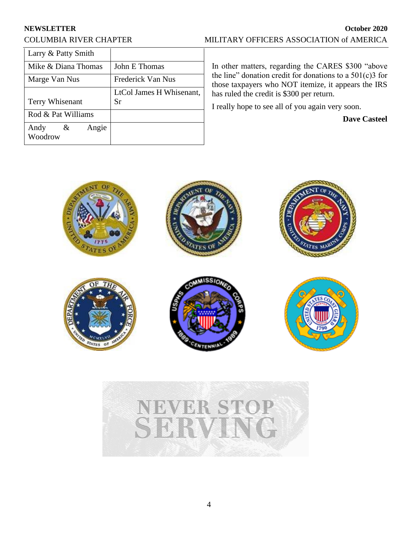| Larry & Patty Smith |                          |
|---------------------|--------------------------|
| Mike & Diana Thomas | John E Thomas            |
| Marge Van Nus       | Frederick Van Nus        |
|                     | LtCol James H Whisenant, |
| Terry Whisenant     | Sr                       |
|                     |                          |
| Rod & Pat Williams  |                          |

In other matters, regarding the CARES \$300 "above the line" donation credit for donations to a  $501(c)3$  for those taxpayers who NOT itemize, it appears the IRS has ruled the credit is \$300 per return.

I really hope to see all of you again very soon.

**Dave Casteel**



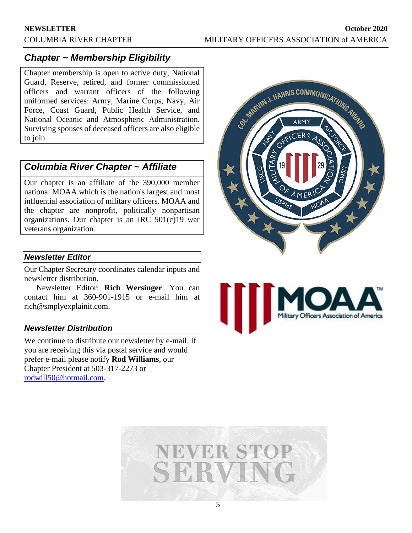# *Chapter ~ Membership Eligibility*

Chapter membership is open to active duty, National Guard, Reserve, retired, and former commissioned officers and warrant officers of the following uniformed services: Army, Marine Corps, Navy, Air Force, Coast Guard, Public Health Service, and National Oceanic and Atmospheric Administration. Surviving spouses of deceased officers are also eligible to join.

# *Columbia River Chapter ~ Affiliate*

Our chapter is an affiliate of the 390,000 member national MOAA which is the nation's largest and most influential association of military officers. MOAA and the chapter are nonprofit, politically nonpartisan organizations. Our chapter is an IRC 501(c)19 war veterans organization.

# *Newsletter Editor*

Our Chapter Secretary coordinates calendar inputs and newsletter distribution.

Newsletter Editor: **Rich Wersinger**. You can contact him at 360-901-1915 or e-mail him at rich@smplyexplainit.com.

### *Newsletter Distribution*

We continue to distribute our newsletter by e-mail. If you are receiving this via postal service and would prefer e-mail please notify **Rod Williams**, our Chapter President at 503-317-2273 or [rodwill50@hotmail.com.](mailto:rodwill50@hotmail.com)